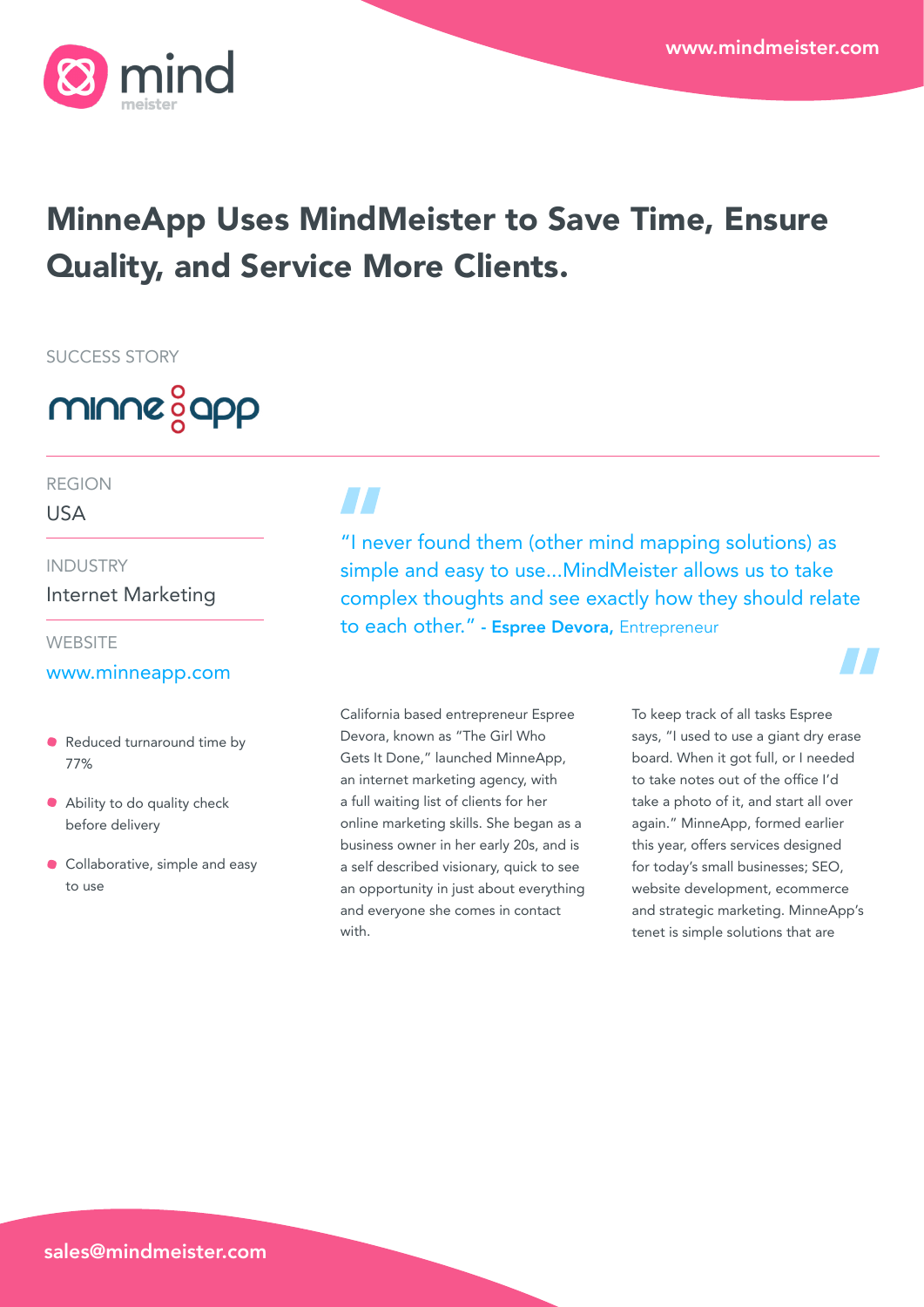

# MinneApp Uses MindMeister to Save Time, Ensure Quality, and Service More Clients.

SUCCESS STORY



### REGION

USA

# INDUSTRY

Internet Marketing

#### **WEBSITE**

## [www.minneapp.com](http://www.minneapp.com)

- Reduced turnaround time by 77%
- Ability to do quality check before delivery
- **Collaborative, simple and easy** to use

 $H$  .

"I never found them (other mind mapping solutions) as simple and easy to use...MindMeister allows us to take complex thoughts and see exactly how they should relate to each other." - Espree Devora, Entrepreneur

California based entrepreneur Espree Devora, known as "The Girl Who Gets It Done," launched MinneApp, an internet marketing agency, with a full waiting list of clients for her online marketing skills. She began as a business owner in her early 20s, and is a self described visionary, quick to see an opportunity in just about everything and everyone she comes in contact with.

To keep track of all tasks Espree says, "I used to use a giant dry erase board. When it got full, or I needed to take notes out of the office I'd take a photo of it, and start all over again." MinneApp, formed earlier this year, offers services designed for today's small businesses; SEO, website development, ecommerce and strategic marketing. MinneApp's tenet is simple solutions that are